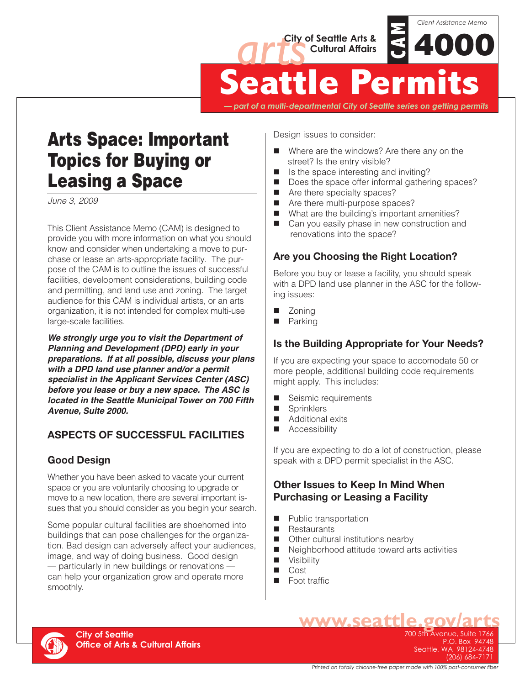



**Seattle Permits**

*— part of a multi-departmental City of Seattle series on getting permits*

# Arts Space: Important Topics for Buying or Leasing a Space

*June 3, 2009*

This Client Assistance Memo (CAM) is designed to provide you with more information on what you should know and consider when undertaking a move to purchase or lease an arts-appropriate facility. The purpose of the CAM is to outline the issues of successful facilities, development considerations, building code and permitting, and land use and zoning. The target audience for this CAM is individual artists, or an arts organization, it is not intended for complex multi-use large-scale facilities.

*We strongly urge you to visit the Department of Planning and Development (DPD) early in your preparations. If at all possible, discuss your plans with a DPD land use planner and/or a permit specialist in the Applicant Services Center (ASC) before you lease or buy a new space. The ASC is located in the Seattle Municipal Tower on 700 Fifth Avenue, Suite 2000.*

# **ASPECTS OF SUCCESSFUL FACILITIES**

# **Good Design**

Whether you have been asked to vacate your current space or you are voluntarily choosing to upgrade or move to a new location, there are several important issues that you should consider as you begin your search.

Some popular cultural facilities are shoehorned into buildings that can pose challenges for the organization. Bad design can adversely affect your audiences, image, and way of doing business. Good design — particularly in new buildings or renovations can help your organization grow and operate more smoothly.

Design issues to consider:

- Where are the windows? Are there any on the street? Is the entry visible?
- $\blacksquare$  Is the space interesting and inviting?
- $\blacksquare$  Does the space offer informal gathering spaces?
- $\blacksquare$  Are there specialty spaces?
- $\blacksquare$  Are there multi-purpose spaces?
- $\blacksquare$  What are the building's important amenities?
- Can you easily phase in new construction and renovations into the space?

# **Are you Choosing the Right Location?**

Before you buy or lease a facility, you should speak with a DPD land use planner in the ASC for the following issues:

- Zonina
- Parking

# **Is the Building Appropriate for Your Needs?**

If you are expecting your space to accomodate 50 or more people, additional building code requirements might apply. This includes:

- Seismic requirements
- **n** Sprinklers
- **n** Additional exits
- **Accessibility**

If you are expecting to do a lot of construction, please speak with a DPD permit specialist in the ASC.

#### **Other Issues to Keep In Mind When Purchasing or Leasing a Facility**

- **n** Public transportation
- **n** Restaurants
- Other cultural institutions nearby
- $\blacksquare$  Neighborhood attitude toward arts activities
- **No Visibility**
- $\Box$  Cost
- **n** Foot traffic



700 5th Avenue, Suite 1766 P.O. Box 94748 Seattle, WA 98124-4748 (206) 684-7171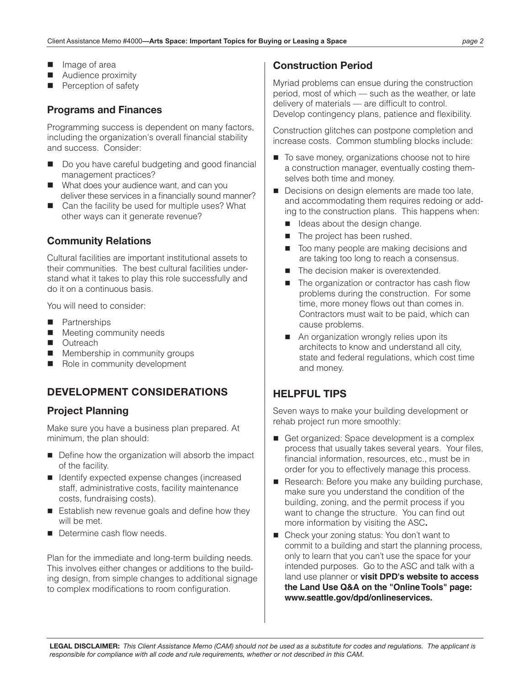- $\blacksquare$  Image of area
- Audience proximity
- Perception of safety

#### **Programs and Finances**

Programming success is dependent on many factors, including the organization's overall financial stability and success. Consider:

- Do you have careful budgeting and good financial management practices?
- What does your audience want, and can you deliver these services in a financially sound manner?
- Can the facility be used for multiple uses? What other ways can it generate revenue?

#### **Community Relations**

Cultural facilities are important institutional assets to their communities. The best cultural facilities understand what it takes to play this role successfully and do it on a continuous basis.

You will need to consider:

- **n** Partnerships
- **n** Meeting community needs
- Outreach
- Membership in community groups
- Role in community development

# **DEVELOPMENT CONSIDERATIONS**

#### **Project Planning**

Make sure you have a business plan prepared. At minimum, the plan should:

- Define how the organization will absorb the impact of the facility.
- Identify expected expense changes (increased staff, administrative costs, facility maintenance costs, fundraising costs).
- Establish new revenue goals and define how they will be met.
- Determine cash flow needs.

Plan for the immediate and long-term building needs. This involves either changes or additions to the building design, from simple changes to additional signage to complex modifications to room configuration.

# **Construction Period**

Myriad problems can ensue during the construction period, most of which — such as the weather, or late delivery of materials — are difficult to control. Develop contingency plans, patience and flexibility.

Construction glitches can postpone completion and increase costs. Common stumbling blocks include:

- To save money, organizations choose not to hire a construction manager, eventually costing themselves both time and money.
- Decisions on design elements are made too late, and accommodating them requires redoing or adding to the construction plans. This happens when:
	- I Ideas about the design change.
	- The project has been rushed.
	- Too many people are making decisions and are taking too long to reach a consensus.
	- The decision maker is overextended.
	- The organization or contractor has cash flow problems during the construction. For some time, more money flows out than comes in. Contractors must wait to be paid, which can cause problems.
	- An organization wrongly relies upon its architects to know and understand all city, state and federal regulations, which cost time and money.

# **HELPFUL TIPS**

Seven ways to make your building development or rehab project run more smoothly:

- Get organized: Space development is a complex process that usually takes several years. Your files, financial information, resources, etc., must be in order for you to effectively manage this process.
- Research: Before you make any building purchase, make sure you understand the condition of the building, zoning, and the permit process if you want to change the structure. You can find out more information by visiting the ASC**.**
- Check your zoning status: You don't want to commit to a building and start the planning process, only to learn that you can't use the space for your intended purposes. Go to the ASC and talk with a land use planner or **visit DPD's website to access the Land Use Q&A on the "Online Tools" page: www.seattle.gov/dpd/onlineservices.**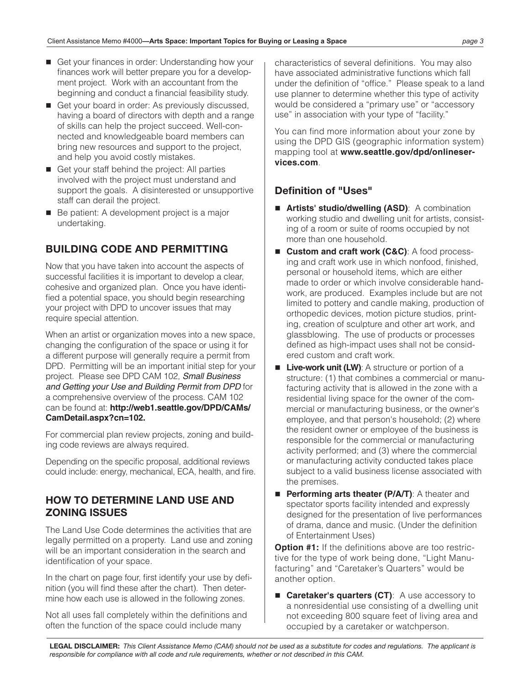- Get your finances in order: Understanding how your finances work will better prepare you for a development project. Work with an accountant from the beginning and conduct a financial feasibility study.
- Get your board in order: As previously discussed, having a board of directors with depth and a range of skills can help the project succeed. Well-connected and knowledgeable board members can bring new resources and support to the project, and help you avoid costly mistakes.
- Get your staff behind the project: All parties involved with the project must understand and support the goals. A disinterested or unsupportive staff can derail the project.
- Be patient: A development project is a major undertaking.

# **BUILDING CODE AND PERMITTING**

Now that you have taken into account the aspects of successful facilities it is important to develop a clear, cohesive and organized plan. Once you have identified a potential space, you should begin researching your project with DPD to uncover issues that may require special attention.

When an artist or organization moves into a new space, changing the configuration of the space or using it for a different purpose will generally require a permit from DPD. Permitting will be an important initial step for your project. Please see DPD CAM 102, *Small Business and Getting your Use and Building Permit from DPD* for a comprehensive overview of the process. CAM 102 can be found at: **http://web1.seattle.gov/DPD/CAMs/ CamDetail.aspx?cn=102.**

For commercial plan review projects, zoning and building code reviews are always required.

Depending on the specific proposal, additional reviews could include: energy, mechanical, ECA, health, and fire.

#### **HOW TO DETERMINE LAND USE AND ZONING ISSUES**

The Land Use Code determines the activities that are legally permitted on a property. Land use and zoning will be an important consideration in the search and identification of your space.

In the chart on page four, first identify your use by definition (you will find these after the chart). Then determine how each use is allowed in the following zones.

Not all uses fall completely within the definitions and often the function of the space could include many

characteristics of several definitions. You may also have associated administrative functions which fall under the definition of "office." Please speak to a land use planner to determine whether this type of activity would be considered a "primary use" or "accessory use" in association with your type of "facility."

You can find more information about your zone by using the DPD GIS (geographic information system) mapping tool at **www.seattle.gov/dpd/onlineservices.com**.

# **Definition of "Uses"**

- **Artists' studio/dwelling (ASD)**: A combination working studio and dwelling unit for artists, consisting of a room or suite of rooms occupied by not more than one household.
- Custom and craft work (C&C): A food processing and craft work use in which nonfood, finished, personal or household items, which are either made to order or which involve considerable handwork, are produced. Examples include but are not limited to pottery and candle making, production of orthopedic devices, motion picture studios, printing, creation of sculpture and other art work, and glassblowing. The use of products or processes defined as high-impact uses shall not be considered custom and craft work.
- **Live-work unit (LW)**: A structure or portion of a structure: (1) that combines a commercial or manufacturing activity that is allowed in the zone with a residential living space for the owner of the commercial or manufacturing business, or the owner's employee, and that person's household; (2) where the resident owner or employee of the business is responsible for the commercial or manufacturing activity performed; and (3) where the commercial or manufacturing activity conducted takes place subject to a valid business license associated with the premises.
- **Performing arts theater (P/A/T):** A theater and spectator sports facility intended and expressly designed for the presentation of live performances of drama, dance and music. (Under the definition of Entertainment Uses)

**Option #1:** If the definitions above are too restrictive for the type of work being done, "Light Manufacturing" and "Caretaker's Quarters" would be another option.

■ **Caretaker's quarters (CT)**: A use accessory to a nonresidential use consisting of a dwelling unit not exceeding 800 square feet of living area and occupied by a caretaker or watchperson.

**LEGAL DISCLAIMER:** *This Client Assistance Memo (CAM) should not be used as a substitute for codes and regulations. The applicant is responsible for compliance with all code and rule requirements, whether or not described in this CAM.*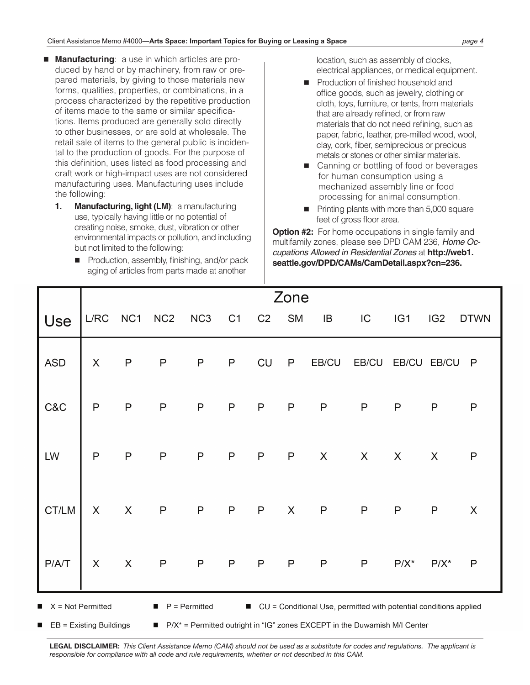- **Manufacturing**: a use in which articles are produced by hand or by machinery, from raw or prepared materials, by giving to those materials new forms, qualities, properties, or combinations, in a process characterized by the repetitive production of items made to the same or similar specifications. Items produced are generally sold directly to other businesses, or are sold at wholesale. The retail sale of items to the general public is incidental to the production of goods. For the purpose of this definition, uses listed as food processing and craft work or high-impact uses are not considered manufacturing uses. Manufacturing uses include the following:
	- **1. Manufacturing, light (LM)**: a manufacturing use, typically having little or no potential of creating noise, smoke, dust, vibration or other environmental impacts or pollution, and including but not limited to the following:
		- $\blacksquare$  Production, assembly, finishing, and/or pack aging of articles from parts made at another

 location, such as assembly of clocks, electrical appliances, or medical equipment.

- Production of finished household and office goods, such as jewelry, clothing or cloth, toys, furniture, or tents, from materials that are already refined, or from raw materials that do not need refining, such as paper, fabric, leather, pre-milled wood, wool, clay, cork, fiber, semiprecious or precious metals or stones or other similar materials.
- Canning or bottling of food or beverages for human consumption using a mechanized assembly line or food processing for animal consumption.
- Printing plants with more than 5,000 square feet of gross floor area.

**Option #2:** For home occupations in single family and multifamily zones, please see DPD CAM 236, *Home Occupations Allowed in Residential Zones* at **http://web1. seattle.gov/DPD/CAMs/CamDetail.aspx?cn=236.**

|                                                                                                                                    | Zone                      |                           |                 |                 |                |                |              |                |                |                 |                 |             |
|------------------------------------------------------------------------------------------------------------------------------------|---------------------------|---------------------------|-----------------|-----------------|----------------|----------------|--------------|----------------|----------------|-----------------|-----------------|-------------|
| Use                                                                                                                                | L/RC                      | NC1                       | NC <sub>2</sub> | NC <sub>3</sub> | C <sub>1</sub> | C <sub>2</sub> | <b>SM</b>    | IB             | IC             | IG <sub>1</sub> | IG <sub>2</sub> | <b>DTWN</b> |
| <b>ASD</b>                                                                                                                         | $\boldsymbol{\mathsf{X}}$ | $\mathsf{P}$              | $\mathsf{P}$    | ${\sf P}$       | $\mathsf P$    | CU             | $\mathsf{P}$ | EB/CU          | EB/CU          | EB/CU           | EB/CU           | $\mathsf P$ |
| C&C                                                                                                                                | $\mathsf{P}$              | $\sf P$                   | $\sf P$         | $\mathsf{P}$    | $\mathsf{P}$   | $\sf P$        | $\mathsf{P}$ | $\sf P$        | $\mathsf{P}$   | $\mathsf{P}$    | $\mathsf{P}$    | $\sf P$     |
| LW                                                                                                                                 | P                         | $\mathsf{P}$              | $\mathsf P$     | $\mathsf{P}$    | P              | $\mathsf{P}$   | $\mathsf{P}$ | $\pmb{\times}$ | $\pmb{\times}$ | $\pmb{\times}$  | $\pmb{\times}$  | $\sf P$     |
| CT/LM                                                                                                                              | $\sf X$                   | $\sf X$                   | $\mathsf{P}$    | $\mathsf P$     | $\sf P$        | $\mathsf{P}$   | $\sf X$      | $\mathsf{P}$   | $\mathsf P$    | $\sf P$         | $\mathsf{P}$    | $\sf X$     |
| P/A/T                                                                                                                              | $\boldsymbol{\mathsf{X}}$ | $\boldsymbol{\mathsf{X}}$ | $\sf P$         | $\mathsf{P}$    | $\mathsf P$    | $\mathsf{P}$   | $\mathsf{P}$ | $\mathsf{P}$   | $\mathsf{P}$   | $P/X^*$         | $P/X^*$         | P           |
| $X = Not Permitted$<br>$P = Permitted$<br>CU = Conditional Use, permitted with potential conditions applied<br>$\blacksquare$<br>п |                           |                           |                 |                 |                |                |              |                |                |                 |                 |             |

EB = Existing Buildings

 $\blacksquare$  P/X<sup>\*</sup> = Permitted outright in "IG" zones EXCEPT in the Duwamish M/I Center

**LEGAL DISCLAIMER:** *This Client Assistance Memo (CAM) should not be used as a substitute for codes and regulations. The applicant is responsible for compliance with all code and rule requirements, whether or not described in this CAM.*